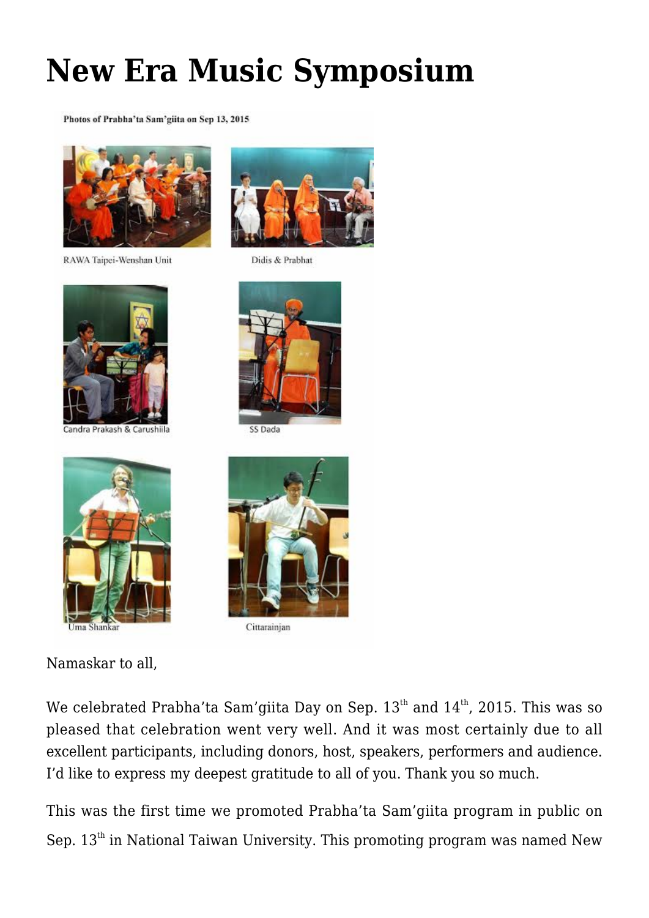## **[New Era Music Symposium](https://crimsondawn.net/portfolio/new-era-music-symposium/)**

Photos of Prabha'ta Sam'giita on Sep 13, 2015



RAWA Taipei-Wenshan Unit



andra Prakash & Carushiila



Didis & Prabhat



SS Dada





Namaskar to all,



Cittarainjan

We celebrated Prabha'ta Sam'giita Day on Sep.  $13<sup>th</sup>$  and  $14<sup>th</sup>$ , 2015. This was so pleased that celebration went very well. And it was most certainly due to all excellent participants, including donors, host, speakers, performers and audience. I'd like to express my deepest gratitude to all of you. Thank you so much.

This was the first time we promoted Prabha'ta Sam'giita program in public on Sep.  $13<sup>th</sup>$  in National Taiwan University. This promoting program was named New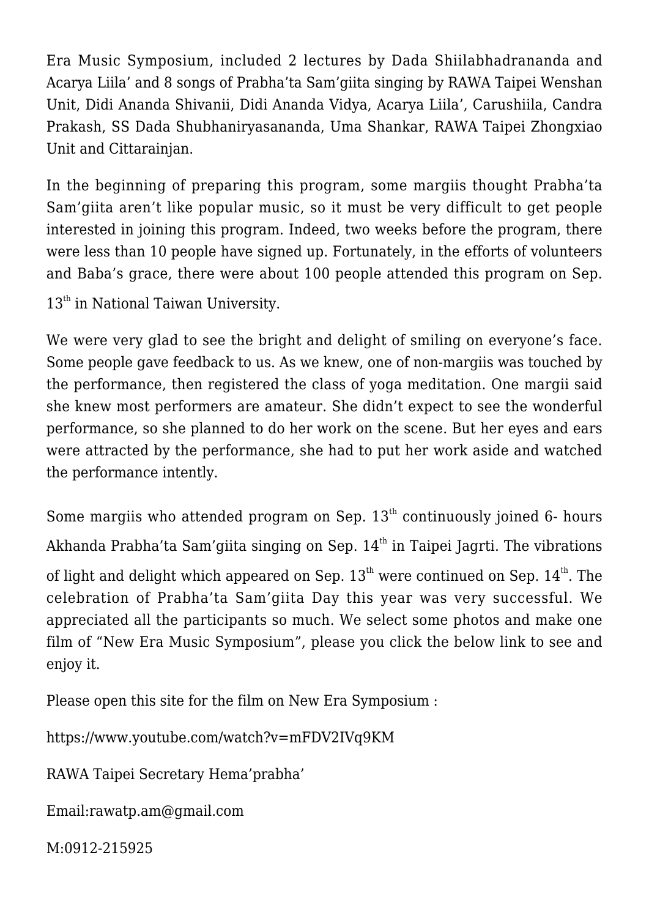Era Music Symposium, included 2 lectures by Dada Shiilabhadrananda and Acarya Liila' and 8 songs of Prabha'ta Sam'giita singing by RAWA Taipei Wenshan Unit, Didi Ananda Shivanii, Didi Ananda Vidya, Acarya Liila', Carushiila, Candra Prakash, SS Dada Shubhaniryasananda, Uma Shankar, RAWA Taipei Zhongxiao Unit and Cittarainjan.

In the beginning of preparing this program, some margiis thought Prabha'ta Sam'giita aren't like popular music, so it must be very difficult to get people interested in joining this program. Indeed, two weeks before the program, there were less than 10 people have signed up. Fortunately, in the efforts of volunteers and Baba's grace, there were about 100 people attended this program on Sep.

13<sup>th</sup> in National Taiwan University.

We were very glad to see the bright and delight of smiling on everyone's face. Some people gave feedback to us. As we knew, one of non-margiis was touched by the performance, then registered the class of yoga meditation. One margii said she knew most performers are amateur. She didn't expect to see the wonderful performance, so she planned to do her work on the scene. But her eyes and ears were attracted by the performance, she had to put her work aside and watched the performance intently.

Some margiis who attended program on Sep.  $13<sup>th</sup>$  continuously joined 6- hours Akhanda Prabha'ta Sam'giita singing on Sep.  $14<sup>th</sup>$  in Taipei Jagrti. The vibrations of light and delight which appeared on Sep.  $13^{th}$  were continued on Sep.  $14^{th}$ . The celebration of Prabha'ta Sam'giita Day this year was very successful. We appreciated all the participants so much. We select some photos and make one film of "New Era Music Symposium", please you click the below link to see and enjoy it.

Please open this site for the film on New Era Symposium :

<https://www.youtube.com/watch?v=mFDV2IVq9KM>

RAWA Taipei Secretary Hema'prabha'

[Email:rawatp.am@gmail.com](mailto:Email%3Arawatp.am@gmail.com)

M:0912-215925